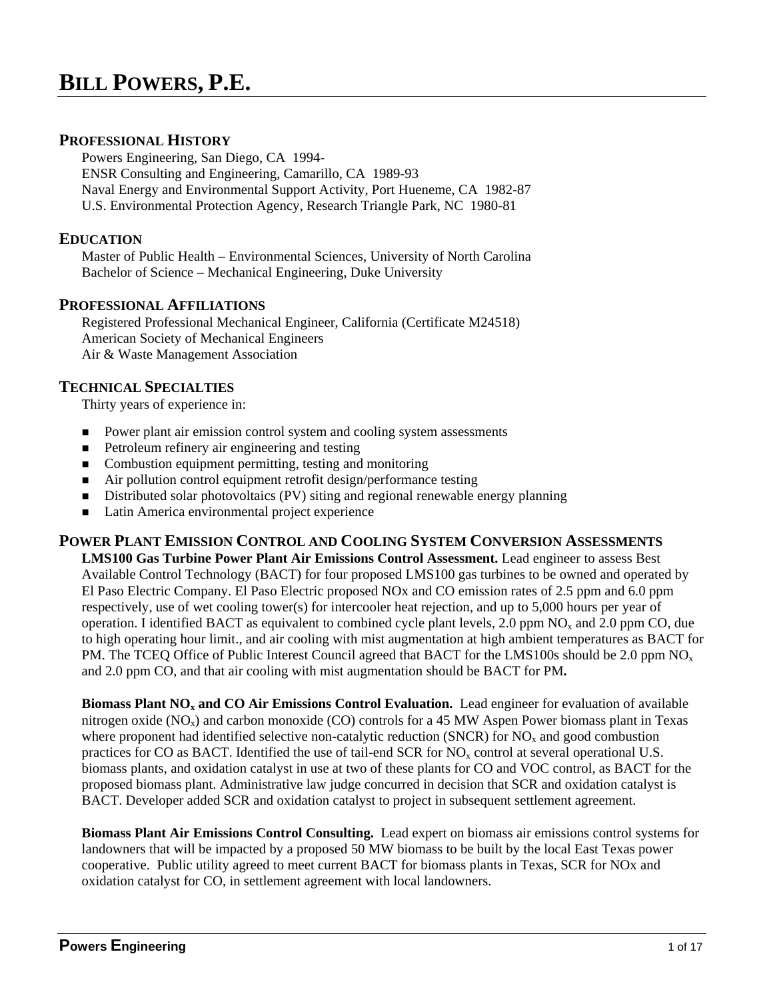## **PROFESSIONAL HISTORY**

 Powers Engineering, San Diego, CA 1994- ENSR Consulting and Engineering, Camarillo, CA 1989-93 Naval Energy and Environmental Support Activity, Port Hueneme, CA 1982-87 U.S. Environmental Protection Agency, Research Triangle Park, NC 1980-81

### **EDUCATION**

 Master of Public Health – Environmental Sciences, University of North Carolina Bachelor of Science – Mechanical Engineering, Duke University

### **PROFESSIONAL AFFILIATIONS**

 Registered Professional Mechanical Engineer, California (Certificate M24518) American Society of Mechanical Engineers Air & Waste Management Association

### **TECHNICAL SPECIALTIES**

Thirty years of experience in:

- **Power plant air emission control system and cooling system assessments**
- Petroleum refinery air engineering and testing
- Combustion equipment permitting, testing and monitoring
- Air pollution control equipment retrofit design/performance testing
- Distributed solar photovoltaics (PV) siting and regional renewable energy planning
- Latin America environmental project experience

### **POWER PLANT EMISSION CONTROL AND COOLING SYSTEM CONVERSION ASSESSMENTS**

**LMS100 Gas Turbine Power Plant Air Emissions Control Assessment.** Lead engineer to assess Best Available Control Technology (BACT) for four proposed LMS100 gas turbines to be owned and operated by El Paso Electric Company. El Paso Electric proposed NOx and CO emission rates of 2.5 ppm and 6.0 ppm respectively, use of wet cooling tower(s) for intercooler heat rejection, and up to 5,000 hours per year of operation. I identified BACT as equivalent to combined cycle plant levels, 2.0 ppm  $NO<sub>x</sub>$  and 2.0 ppm CO, due to high operating hour limit., and air cooling with mist augmentation at high ambient temperatures as BACT for PM. The TCEQ Office of Public Interest Council agreed that BACT for the LMS100s should be 2.0 ppm  $NO<sub>x</sub>$ and 2.0 ppm CO, and that air cooling with mist augmentation should be BACT for PM**.** 

**Biomass Plant NO<sub>x</sub> and CO Air Emissions Control Evaluation.** Lead engineer for evaluation of available nitrogen oxide  $(NO_x)$  and carbon monoxide  $(CO)$  controls for a 45 MW Aspen Power biomass plant in Texas where proponent had identified selective non-catalytic reduction (SNCR) for  $NO<sub>x</sub>$  and good combustion practices for CO as BACT. Identified the use of tail-end SCR for  $NO<sub>x</sub>$  control at several operational U.S. biomass plants, and oxidation catalyst in use at two of these plants for CO and VOC control, as BACT for the proposed biomass plant. Administrative law judge concurred in decision that SCR and oxidation catalyst is BACT. Developer added SCR and oxidation catalyst to project in subsequent settlement agreement.

**Biomass Plant Air Emissions Control Consulting.** Lead expert on biomass air emissions control systems for landowners that will be impacted by a proposed 50 MW biomass to be built by the local East Texas power cooperative. Public utility agreed to meet current BACT for biomass plants in Texas, SCR for NOx and oxidation catalyst for CO, in settlement agreement with local landowners.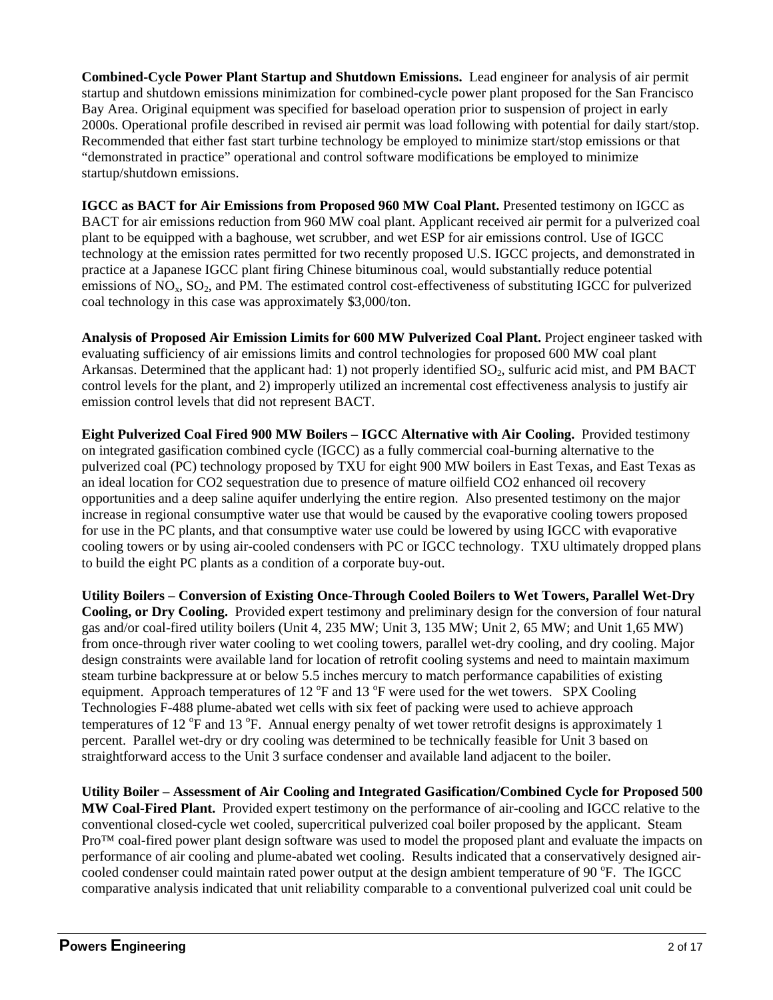**Combined-Cycle Power Plant Startup and Shutdown Emissions.** Lead engineer for analysis of air permit startup and shutdown emissions minimization for combined-cycle power plant proposed for the San Francisco Bay Area. Original equipment was specified for baseload operation prior to suspension of project in early 2000s. Operational profile described in revised air permit was load following with potential for daily start/stop. Recommended that either fast start turbine technology be employed to minimize start/stop emissions or that "demonstrated in practice" operational and control software modifications be employed to minimize startup/shutdown emissions.

**IGCC as BACT for Air Emissions from Proposed 960 MW Coal Plant.** Presented testimony on IGCC as BACT for air emissions reduction from 960 MW coal plant. Applicant received air permit for a pulverized coal plant to be equipped with a baghouse, wet scrubber, and wet ESP for air emissions control. Use of IGCC technology at the emission rates permitted for two recently proposed U.S. IGCC projects, and demonstrated in practice at a Japanese IGCC plant firing Chinese bituminous coal, would substantially reduce potential emissions of  $NO<sub>x</sub>$ ,  $SO<sub>2</sub>$ , and PM. The estimated control cost-effectiveness of substituting IGCC for pulverized coal technology in this case was approximately \$3,000/ton.

**Analysis of Proposed Air Emission Limits for 600 MW Pulverized Coal Plant.** Project engineer tasked with evaluating sufficiency of air emissions limits and control technologies for proposed 600 MW coal plant Arkansas. Determined that the applicant had: 1) not properly identified  $SO_2$ , sulfuric acid mist, and PM BACT control levels for the plant, and 2) improperly utilized an incremental cost effectiveness analysis to justify air emission control levels that did not represent BACT.

**Eight Pulverized Coal Fired 900 MW Boilers – IGCC Alternative with Air Cooling.** Provided testimony on integrated gasification combined cycle (IGCC) as a fully commercial coal-burning alternative to the pulverized coal (PC) technology proposed by TXU for eight 900 MW boilers in East Texas, and East Texas as an ideal location for CO2 sequestration due to presence of mature oilfield CO2 enhanced oil recovery opportunities and a deep saline aquifer underlying the entire region. Also presented testimony on the major increase in regional consumptive water use that would be caused by the evaporative cooling towers proposed for use in the PC plants, and that consumptive water use could be lowered by using IGCC with evaporative cooling towers or by using air-cooled condensers with PC or IGCC technology. TXU ultimately dropped plans to build the eight PC plants as a condition of a corporate buy-out.

**Utility Boilers – Conversion of Existing Once-Through Cooled Boilers to Wet Towers, Parallel Wet-Dry Cooling, or Dry Cooling.** Provided expert testimony and preliminary design for the conversion of four natural gas and/or coal-fired utility boilers (Unit 4, 235 MW; Unit 3, 135 MW; Unit 2, 65 MW; and Unit 1,65 MW) from once-through river water cooling to wet cooling towers, parallel wet-dry cooling, and dry cooling. Major design constraints were available land for location of retrofit cooling systems and need to maintain maximum steam turbine backpressure at or below 5.5 inches mercury to match performance capabilities of existing equipment. Approach temperatures of 12  $\mathrm{P}$  and 13  $\mathrm{P}$  were used for the wet towers. SPX Cooling Technologies F-488 plume-abated wet cells with six feet of packing were used to achieve approach temperatures of 12  $\overline{P}$  and 13  $\overline{P}$ . Annual energy penalty of wet tower retrofit designs is approximately 1 percent. Parallel wet-dry or dry cooling was determined to be technically feasible for Unit 3 based on straightforward access to the Unit 3 surface condenser and available land adjacent to the boiler.

**Utility Boiler – Assessment of Air Cooling and Integrated Gasification/Combined Cycle for Proposed 500 MW Coal-Fired Plant.** Provided expert testimony on the performance of air-cooling and IGCC relative to the conventional closed-cycle wet cooled, supercritical pulverized coal boiler proposed by the applicant. Steam Pro<sup>™</sup> coal-fired power plant design software was used to model the proposed plant and evaluate the impacts on performance of air cooling and plume-abated wet cooling. Results indicated that a conservatively designed aircooled condenser could maintain rated power output at the design ambient temperature of 90 °F. The IGCC comparative analysis indicated that unit reliability comparable to a conventional pulverized coal unit could be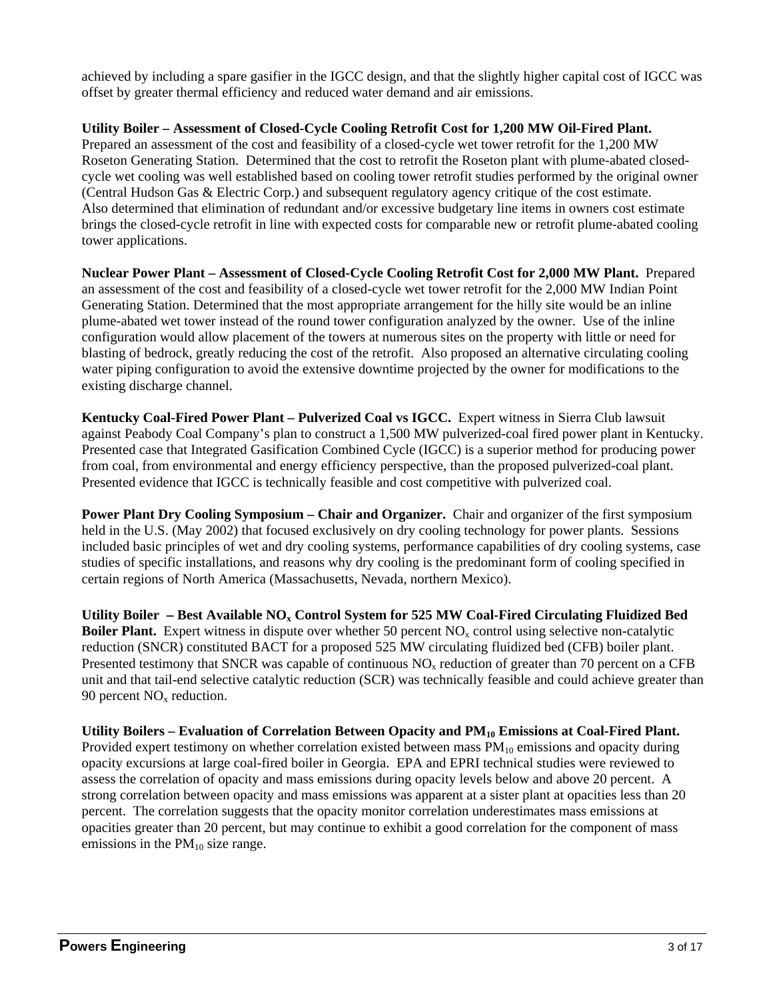achieved by including a spare gasifier in the IGCC design, and that the slightly higher capital cost of IGCC was offset by greater thermal efficiency and reduced water demand and air emissions.

 **Utility Boiler – Assessment of Closed-Cycle Cooling Retrofit Cost for 1,200 MW Oil-Fired Plant.**  Prepared an assessment of the cost and feasibility of a closed-cycle wet tower retrofit for the 1,200 MW Roseton Generating Station. Determined that the cost to retrofit the Roseton plant with plume-abated closed cycle wet cooling was well established based on cooling tower retrofit studies performed by the original owner (Central Hudson Gas & Electric Corp.) and subsequent regulatory agency critique of the cost estimate. Also determined that elimination of redundant and/or excessive budgetary line items in owners cost estimate brings the closed-cycle retrofit in line with expected costs for comparable new or retrofit plume-abated cooling tower applications.

**Nuclear Power Plant – Assessment of Closed-Cycle Cooling Retrofit Cost for 2,000 MW Plant.** Prepared an assessment of the cost and feasibility of a closed-cycle wet tower retrofit for the 2,000 MW Indian Point Generating Station. Determined that the most appropriate arrangement for the hilly site would be an inline plume-abated wet tower instead of the round tower configuration analyzed by the owner. Use of the inline configuration would allow placement of the towers at numerous sites on the property with little or need for blasting of bedrock, greatly reducing the cost of the retrofit. Also proposed an alternative circulating cooling water piping configuration to avoid the extensive downtime projected by the owner for modifications to the existing discharge channel.

**Kentucky Coal-Fired Power Plant – Pulverized Coal vs IGCC.** Expert witness in Sierra Club lawsuit against Peabody Coal Company's plan to construct a 1,500 MW pulverized-coal fired power plant in Kentucky. Presented case that Integrated Gasification Combined Cycle (IGCC) is a superior method for producing power from coal, from environmental and energy efficiency perspective, than the proposed pulverized-coal plant. Presented evidence that IGCC is technically feasible and cost competitive with pulverized coal.

**Power Plant Dry Cooling Symposium – Chair and Organizer.** Chair and organizer of the first symposium held in the U.S. (May 2002) that focused exclusively on dry cooling technology for power plants. Sessions included basic principles of wet and dry cooling systems, performance capabilities of dry cooling systems, case studies of specific installations, and reasons why dry cooling is the predominant form of cooling specified in certain regions of North America (Massachusetts, Nevada, northern Mexico).

Utility Boiler - Best Available NO<sub>x</sub> Control System for 525 MW Coal-Fired Circulating Fluidized Bed **Boiler Plant.** Expert witness in dispute over whether 50 percent NO<sub>x</sub> control using selective non-catalytic reduction (SNCR) constituted BACT for a proposed 525 MW circulating fluidized bed (CFB) boiler plant. Presented testimony that SNCR was capable of continuous NO<sub>y</sub> reduction of greater than 70 percent on a CFB unit and that tail-end selective catalytic reduction (SCR) was technically feasible and could achieve greater than 90 percent  $NO<sub>x</sub>$  reduction.

Utility Boilers – Evaluation of Correlation Between Opacity and PM<sub>10</sub> Emissions at Coal-Fired Plant. Provided expert testimony on whether correlation existed between mass  $PM_{10}$  emissions and opacity during opacity excursions at large coal-fired boiler in Georgia. EPA and EPRI technical studies were reviewed to assess the correlation of opacity and mass emissions during opacity levels below and above 20 percent. A strong correlation between opacity and mass emissions was apparent at a sister plant at opacities less than 20 percent. The correlation suggests that the opacity monitor correlation underestimates mass emissions at opacities greater than 20 percent, but may continue to exhibit a good correlation for the component of mass emissions in the  $PM_{10}$  size range.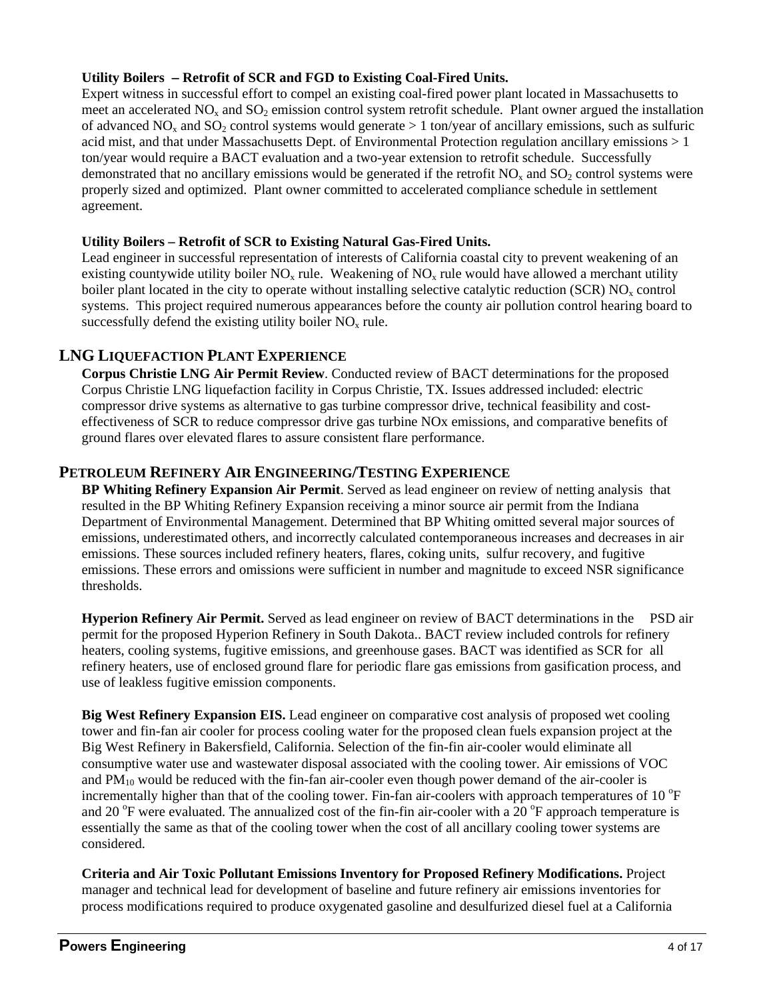### **Utility Boilers Retrofit of SCR and FGD to Existing Coal-Fired Units.**

Expert witness in successful effort to compel an existing coal-fired power plant located in Massachusetts to meet an accelerated  $NO<sub>x</sub>$  and  $SO<sub>2</sub>$  emission control system retrofit schedule. Plant owner argued the installation of advanced  $NO<sub>x</sub>$  and  $SO<sub>2</sub>$  control systems would generate > 1 ton/year of ancillary emissions, such as sulfuric acid mist, and that under Massachusetts Dept. of Environmental Protection regulation ancillary emissions > 1 ton/year would require a BACT evaluation and a two-year extension to retrofit schedule. Successfully demonstrated that no ancillary emissions would be generated if the retrofit  $NO<sub>x</sub>$  and  $SO<sub>2</sub>$  control systems were properly sized and optimized. Plant owner committed to accelerated compliance schedule in settlement agreement.

#### **Utility Boilers – Retrofit of SCR to Existing Natural Gas-Fired Units.**

Lead engineer in successful representation of interests of California coastal city to prevent weakening of an existing countywide utility boiler  $NO<sub>x</sub>$  rule. Weakening of  $NO<sub>x</sub>$  rule would have allowed a merchant utility boiler plant located in the city to operate without installing selective catalytic reduction (SCR)  $NO<sub>x</sub>$  control systems. This project required numerous appearances before the county air pollution control hearing board to successfully defend the existing utility boiler  $NO<sub>x</sub>$  rule.

## **LNG LIQUEFACTION PLANT EXPERIENCE**

**Corpus Christie LNG Air Permit Review**. Conducted review of BACT determinations for the proposed Corpus Christie LNG liquefaction facility in Corpus Christie, TX. Issues addressed included: electric compressor drive systems as alternative to gas turbine compressor drive, technical feasibility and costeffectiveness of SCR to reduce compressor drive gas turbine NOx emissions, and comparative benefits of ground flares over elevated flares to assure consistent flare performance.

## **PETROLEUM REFINERY AIR ENGINEERING/TESTING EXPERIENCE**

**BP Whiting Refinery Expansion Air Permit**. Served as lead engineer on review of netting analysis that resulted in the BP Whiting Refinery Expansion receiving a minor source air permit from the Indiana Department of Environmental Management. Determined that BP Whiting omitted several major sources of emissions, underestimated others, and incorrectly calculated contemporaneous increases and decreases in air emissions. These sources included refinery heaters, flares, coking units, sulfur recovery, and fugitive emissions. These errors and omissions were sufficient in number and magnitude to exceed NSR significance thresholds.

 **Hyperion Refinery Air Permit.** Served as lead engineer on review of BACT determinations in the PSD air permit for the proposed Hyperion Refinery in South Dakota.. BACT review included controls for refinery heaters, cooling systems, fugitive emissions, and greenhouse gases. BACT was identified as SCR for all refinery heaters, use of enclosed ground flare for periodic flare gas emissions from gasification process, and use of leakless fugitive emission components.

 **Big West Refinery Expansion EIS.** Lead engineer on comparative cost analysis of proposed wet cooling tower and fin-fan air cooler for process cooling water for the proposed clean fuels expansion project at the Big West Refinery in Bakersfield, California. Selection of the fin-fin air-cooler would eliminate all consumptive water use and wastewater disposal associated with the cooling tower. Air emissions of VOC and  $PM_{10}$  would be reduced with the fin-fan air-cooler even though power demand of the air-cooler is incrementally higher than that of the cooling tower. Fin-fan air-coolers with approach temperatures of 10 $\mathrm{^{\circ}F}$ and 20  $\degree$ F were evaluated. The annualized cost of the fin-fin air-cooler with a 20  $\degree$ F approach temperature is essentially the same as that of the cooling tower when the cost of all ancillary cooling tower systems are considered.

**Criteria and Air Toxic Pollutant Emissions Inventory for Proposed Refinery Modifications.** Project manager and technical lead for development of baseline and future refinery air emissions inventories for process modifications required to produce oxygenated gasoline and desulfurized diesel fuel at a California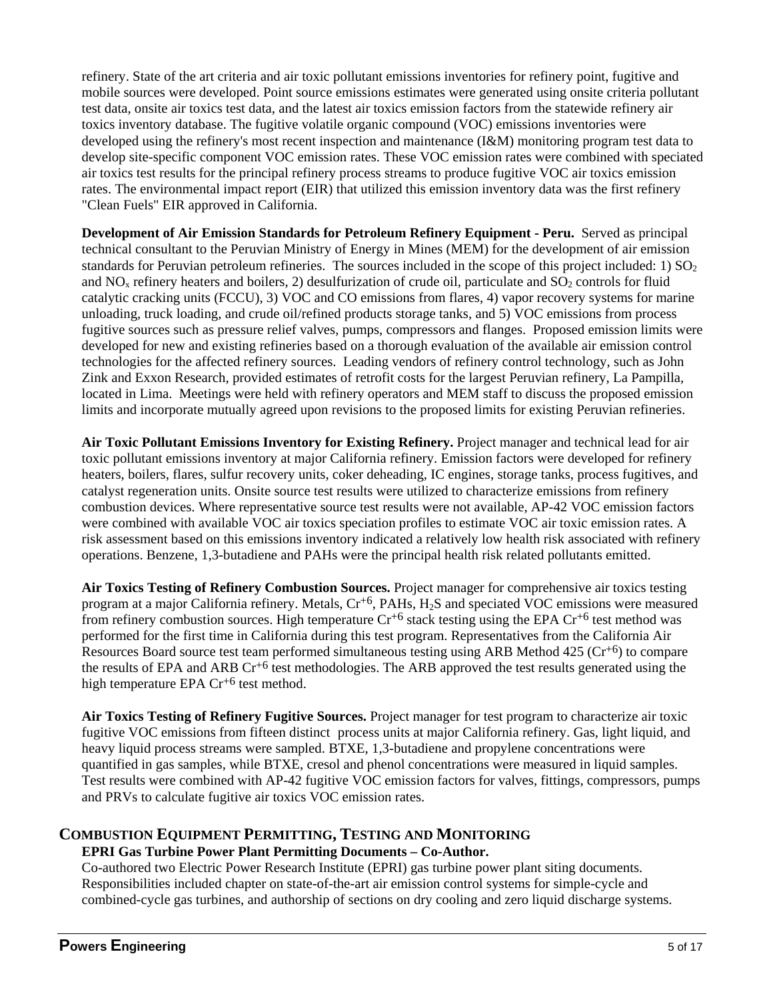refinery. State of the art criteria and air toxic pollutant emissions inventories for refinery point, fugitive and mobile sources were developed. Point source emissions estimates were generated using onsite criteria pollutant test data, onsite air toxics test data, and the latest air toxics emission factors from the statewide refinery air toxics inventory database. The fugitive volatile organic compound (VOC) emissions inventories were developed using the refinery's most recent inspection and maintenance (I&M) monitoring program test data to develop site-specific component VOC emission rates. These VOC emission rates were combined with speciated air toxics test results for the principal refinery process streams to produce fugitive VOC air toxics emission rates. The environmental impact report (EIR) that utilized this emission inventory data was the first refinery "Clean Fuels" EIR approved in California.

**Development of Air Emission Standards for Petroleum Refinery Equipment - Peru.** Served as principal technical consultant to the Peruvian Ministry of Energy in Mines (MEM) for the development of air emission standards for Peruvian petroleum refineries. The sources included in the scope of this project included: 1)  $SO<sub>2</sub>$ and  $NO<sub>x</sub>$  refinery heaters and boilers, 2) desulfurization of crude oil, particulate and  $SO<sub>2</sub>$  controls for fluid catalytic cracking units (FCCU), 3) VOC and CO emissions from flares, 4) vapor recovery systems for marine unloading, truck loading, and crude oil/refined products storage tanks, and 5) VOC emissions from process fugitive sources such as pressure relief valves, pumps, compressors and flanges. Proposed emission limits were developed for new and existing refineries based on a thorough evaluation of the available air emission control technologies for the affected refinery sources. Leading vendors of refinery control technology, such as John Zink and Exxon Research, provided estimates of retrofit costs for the largest Peruvian refinery, La Pampilla, located in Lima. Meetings were held with refinery operators and MEM staff to discuss the proposed emission limits and incorporate mutually agreed upon revisions to the proposed limits for existing Peruvian refineries.

**Air Toxic Pollutant Emissions Inventory for Existing Refinery.** Project manager and technical lead for air toxic pollutant emissions inventory at major California refinery. Emission factors were developed for refinery heaters, boilers, flares, sulfur recovery units, coker deheading, IC engines, storage tanks, process fugitives, and catalyst regeneration units. Onsite source test results were utilized to characterize emissions from refinery combustion devices. Where representative source test results were not available, AP-42 VOC emission factors were combined with available VOC air toxics speciation profiles to estimate VOC air toxic emission rates. A risk assessment based on this emissions inventory indicated a relatively low health risk associated with refinery operations. Benzene, 1,3-butadiene and PAHs were the principal health risk related pollutants emitted.

**Air Toxics Testing of Refinery Combustion Sources.** Project manager for comprehensive air toxics testing program at a major California refinery. Metals,  $Cr<sup>+6</sup>$ , PAHs, H<sub>2</sub>S and speciated VOC emissions were measured from refinery combustion sources. High temperature  $Cr^{+6}$  stack testing using the EPA  $Cr^{+6}$  test method was performed for the first time in California during this test program. Representatives from the California Air Resources Board source test team performed simultaneous testing using ARB Method 425 (Cr+6) to compare the results of EPA and ARB  $Cr^{+6}$  test methodologies. The ARB approved the test results generated using the high temperature EPA  $Cr^{+6}$  test method.

**Air Toxics Testing of Refinery Fugitive Sources.** Project manager for test program to characterize air toxic fugitive VOC emissions from fifteen distinct process units at major California refinery. Gas, light liquid, and heavy liquid process streams were sampled. BTXE, 1,3-butadiene and propylene concentrations were quantified in gas samples, while BTXE, cresol and phenol concentrations were measured in liquid samples. Test results were combined with AP-42 fugitive VOC emission factors for valves, fittings, compressors, pumps and PRVs to calculate fugitive air toxics VOC emission rates.

## **COMBUSTION EQUIPMENT PERMITTING, TESTING AND MONITORING**

### **EPRI Gas Turbine Power Plant Permitting Documents – Co-Author.**

Co-authored two Electric Power Research Institute (EPRI) gas turbine power plant siting documents. Responsibilities included chapter on state-of-the-art air emission control systems for simple-cycle and combined-cycle gas turbines, and authorship of sections on dry cooling and zero liquid discharge systems.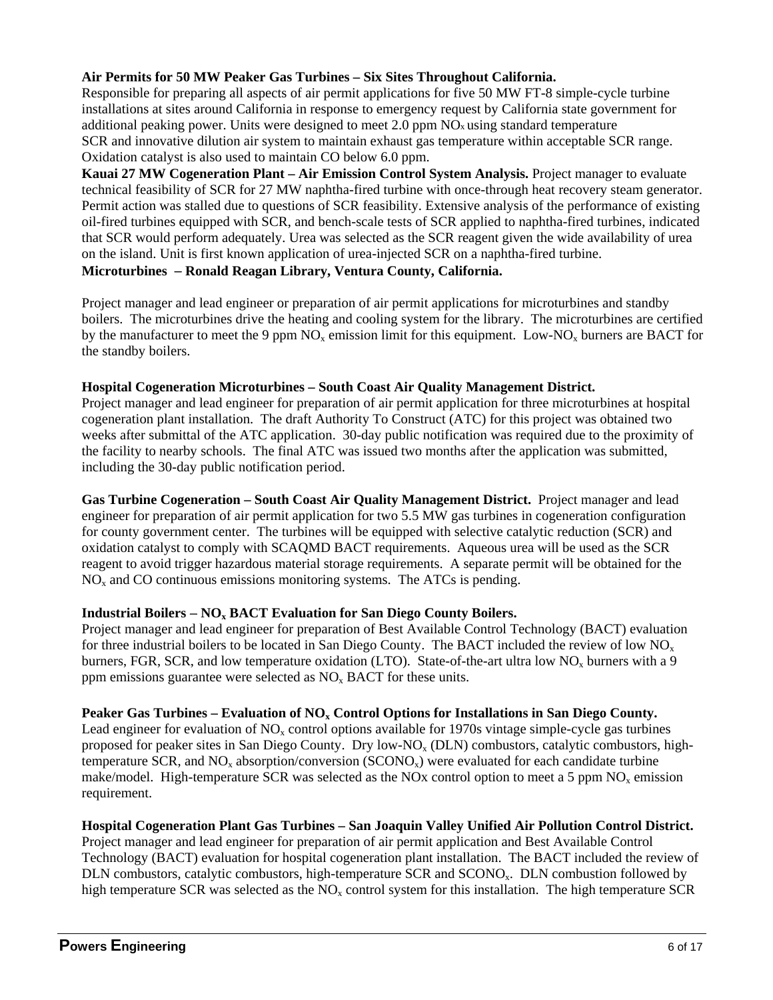### **Air Permits for 50 MW Peaker Gas Turbines – Six Sites Throughout California.**

Responsible for preparing all aspects of air permit applications for five 50 MW FT-8 simple-cycle turbine installations at sites around California in response to emergency request by California state government for additional peaking power. Units were designed to meet 2.0 ppm NOx using standard temperature SCR and innovative dilution air system to maintain exhaust gas temperature within acceptable SCR range. Oxidation catalyst is also used to maintain CO below 6.0 ppm.

**Kauai 27 MW Cogeneration Plant – Air Emission Control System Analysis.** Project manager to evaluate technical feasibility of SCR for 27 MW naphtha-fired turbine with once-through heat recovery steam generator. Permit action was stalled due to questions of SCR feasibility. Extensive analysis of the performance of existing oil-fired turbines equipped with SCR, and bench-scale tests of SCR applied to naphtha-fired turbines, indicated that SCR would perform adequately. Urea was selected as the SCR reagent given the wide availability of urea on the island. Unit is first known application of urea-injected SCR on a naphtha-fired turbine. **Microturbines Ronald Reagan Library, Ventura County, California.** 

Project manager and lead engineer or preparation of air permit applications for microturbines and standby boilers. The microturbines drive the heating and cooling system for the library. The microturbines are certified by the manufacturer to meet the 9 ppm  $NO_x$  emission limit for this equipment. Low-NO<sub>x</sub> burners are BACT for the standby boilers.

#### **Hospital Cogeneration Microturbines – South Coast Air Quality Management District.**

Project manager and lead engineer for preparation of air permit application for three microturbines at hospital cogeneration plant installation. The draft Authority To Construct (ATC) for this project was obtained two weeks after submittal of the ATC application. 30-day public notification was required due to the proximity of the facility to nearby schools. The final ATC was issued two months after the application was submitted, including the 30-day public notification period.

**Gas Turbine Cogeneration – South Coast Air Quality Management District.** Project manager and lead engineer for preparation of air permit application for two 5.5 MW gas turbines in cogeneration configuration for county government center. The turbines will be equipped with selective catalytic reduction (SCR) and oxidation catalyst to comply with SCAQMD BACT requirements. Aqueous urea will be used as the SCR reagent to avoid trigger hazardous material storage requirements. A separate permit will be obtained for the  $NO<sub>x</sub>$  and CO continuous emissions monitoring systems. The ATCs is pending.

#### Industrial Boilers – NO<sub>x</sub> BACT Evaluation for San Diego County Boilers.

Project manager and lead engineer for preparation of Best Available Control Technology (BACT) evaluation for three industrial boilers to be located in San Diego County. The BACT included the review of low  $NO<sub>x</sub>$ burners, FGR, SCR, and low temperature oxidation (LTO). State-of-the-art ultra low  $NO<sub>x</sub>$  burners with a 9 ppm emissions guarantee were selected as  $NO<sub>x</sub> BACT$  for these units.

#### Peaker Gas Turbines – Evaluation of NO<sub>x</sub> Control Options for Installations in San Diego County.

Lead engineer for evaluation of  $NO<sub>x</sub>$  control options available for 1970s vintage simple-cycle gas turbines proposed for peaker sites in San Diego County. Dry low-NO<sub>x</sub> (DLN) combustors, catalytic combustors, hightemperature SCR, and  $NO<sub>x</sub>$  absorption/conversion (SCONO<sub>x</sub>) were evaluated for each candidate turbine make/model. High-temperature SCR was selected as the NOx control option to meet a 5 ppm  $NO<sub>x</sub>$  emission requirement.

### **Hospital Cogeneration Plant Gas Turbines – San Joaquin Valley Unified Air Pollution Control District.**

Project manager and lead engineer for preparation of air permit application and Best Available Control Technology (BACT) evaluation for hospital cogeneration plant installation. The BACT included the review of DLN combustors, catalytic combustors, high-temperature SCR and SCONO<sub>x</sub>. DLN combustion followed by high temperature SCR was selected as the  $NO<sub>x</sub>$  control system for this installation. The high temperature SCR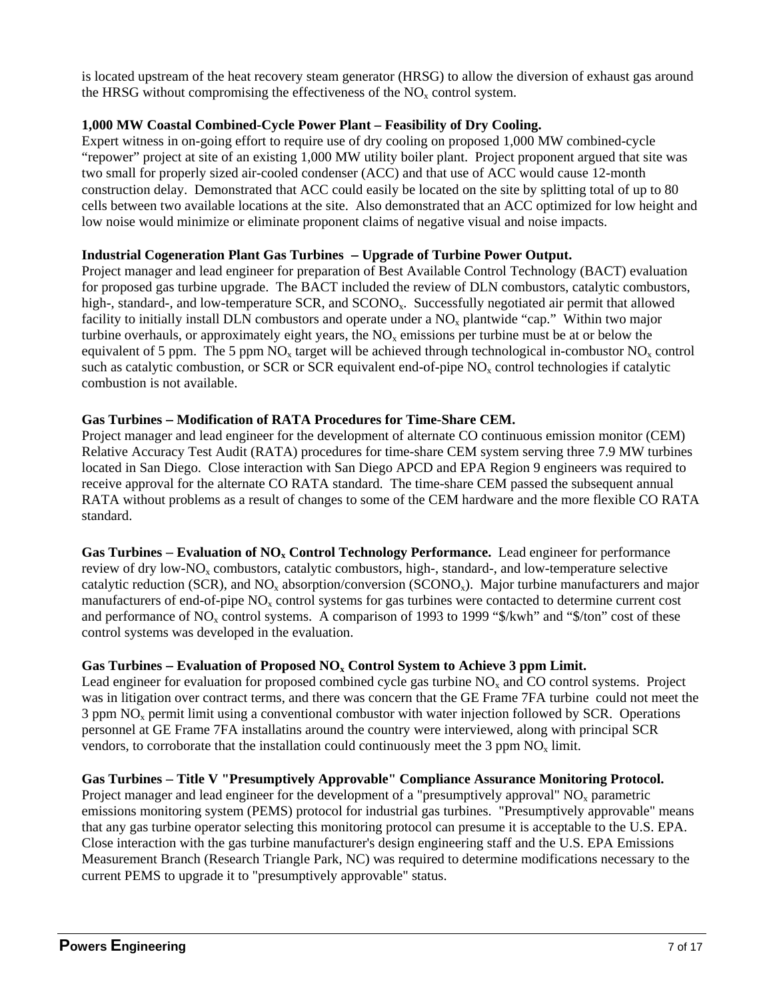is located upstream of the heat recovery steam generator (HRSG) to allow the diversion of exhaust gas around the HRSG without compromising the effectiveness of the  $NO<sub>x</sub>$  control system.

### **1,000 MW Coastal Combined-Cycle Power Plant – Feasibility of Dry Cooling.**

Expert witness in on-going effort to require use of dry cooling on proposed 1,000 MW combined-cycle "repower" project at site of an existing 1,000 MW utility boiler plant. Project proponent argued that site was two small for properly sized air-cooled condenser (ACC) and that use of ACC would cause 12-month construction delay. Demonstrated that ACC could easily be located on the site by splitting total of up to 80 cells between two available locations at the site. Also demonstrated that an ACC optimized for low height and low noise would minimize or eliminate proponent claims of negative visual and noise impacts.

#### **Industrial Cogeneration Plant Gas Turbines Upgrade of Turbine Power Output.**

Project manager and lead engineer for preparation of Best Available Control Technology (BACT) evaluation for proposed gas turbine upgrade. The BACT included the review of DLN combustors, catalytic combustors, high-, standard-, and low-temperature SCR, and SCONO<sub>x</sub>. Successfully negotiated air permit that allowed facility to initially install DLN combustors and operate under a  $NO<sub>x</sub>$  plantwide "cap." Within two major turbine overhauls, or approximately eight years, the  $NO<sub>x</sub>$  emissions per turbine must be at or below the equivalent of 5 ppm. The 5 ppm  $NO<sub>x</sub>$  target will be achieved through technological in-combustor  $NO<sub>x</sub>$  control such as catalytic combustion, or SCR or SCR equivalent end-of-pipe  $NO<sub>x</sub>$  control technologies if catalytic combustion is not available.

#### **Gas Turbines Modification of RATA Procedures for Time-Share CEM.**

Project manager and lead engineer for the development of alternate CO continuous emission monitor (CEM) Relative Accuracy Test Audit (RATA) procedures for time-share CEM system serving three 7.9 MW turbines located in San Diego. Close interaction with San Diego APCD and EPA Region 9 engineers was required to receive approval for the alternate CO RATA standard. The time-share CEM passed the subsequent annual RATA without problems as a result of changes to some of the CEM hardware and the more flexible CO RATA standard.

Gas Turbines – Evaluation of NO<sub>x</sub> Control Technology Performance. Lead engineer for performance review of dry low-NO<sub>x</sub> combustors, catalytic combustors, high-, standard-, and low-temperature selective catalytic reduction (SCR), and  $NO<sub>x</sub>$  absorption/conversion (SCONO<sub>x</sub>). Major turbine manufacturers and major manufacturers of end-of-pipe  $NO<sub>x</sub>$  control systems for gas turbines were contacted to determine current cost and performance of  $NO<sub>x</sub>$  control systems. A comparison of 1993 to 1999 "\$/kwh" and "\$/ton" cost of these control systems was developed in the evaluation.

#### Gas Turbines – Evaluation of Proposed NO<sub>x</sub> Control System to Achieve 3 ppm Limit.

Lead engineer for evaluation for proposed combined cycle gas turbine  $NO<sub>x</sub>$  and CO control systems. Project was in litigation over contract terms, and there was concern that the GE Frame 7FA turbine could not meet the  $3$  ppm  $NO<sub>x</sub>$  permit limit using a conventional combustor with water injection followed by SCR. Operations personnel at GE Frame 7FA installatins around the country were interviewed, along with principal SCR vendors, to corroborate that the installation could continuously meet the 3 ppm  $NO<sub>x</sub>$  limit.

### **Gas Turbines Title V "Presumptively Approvable" Compliance Assurance Monitoring Protocol.**

Project manager and lead engineer for the development of a "presumptively approval"  $NO<sub>x</sub>$  parametric emissions monitoring system (PEMS) protocol for industrial gas turbines. "Presumptively approvable" means that any gas turbine operator selecting this monitoring protocol can presume it is acceptable to the U.S. EPA. Close interaction with the gas turbine manufacturer's design engineering staff and the U.S. EPA Emissions Measurement Branch (Research Triangle Park, NC) was required to determine modifications necessary to the current PEMS to upgrade it to "presumptively approvable" status.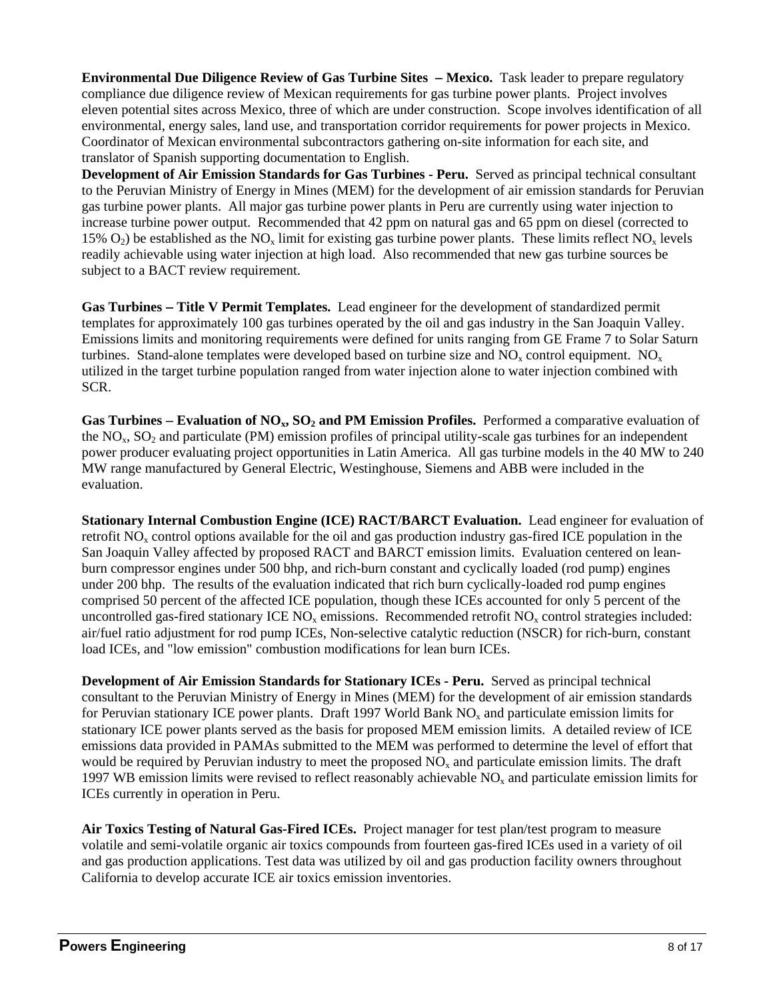**Environmental Due Diligence Review of Gas Turbine Sites – Mexico.** Task leader to prepare regulatory compliance due diligence review of Mexican requirements for gas turbine power plants. Project involves eleven potential sites across Mexico, three of which are under construction. Scope involves identification of all environmental, energy sales, land use, and transportation corridor requirements for power projects in Mexico. Coordinator of Mexican environmental subcontractors gathering on-site information for each site, and translator of Spanish supporting documentation to English.

**Development of Air Emission Standards for Gas Turbines - Peru.** Served as principal technical consultant to the Peruvian Ministry of Energy in Mines (MEM) for the development of air emission standards for Peruvian gas turbine power plants. All major gas turbine power plants in Peru are currently using water injection to increase turbine power output. Recommended that 42 ppm on natural gas and 65 ppm on diesel (corrected to 15%  $O_2$ ) be established as the NO<sub>x</sub> limit for existing gas turbine power plants. These limits reflect NO<sub>x</sub> levels readily achievable using water injection at high load. Also recommended that new gas turbine sources be subject to a BACT review requirement.

**Gas Turbines Title V Permit Templates.** Lead engineer for the development of standardized permit templates for approximately 100 gas turbines operated by the oil and gas industry in the San Joaquin Valley. Emissions limits and monitoring requirements were defined for units ranging from GE Frame 7 to Solar Saturn turbines. Stand-alone templates were developed based on turbine size and  $NO<sub>x</sub>$  control equipment.  $NO<sub>x</sub>$ utilized in the target turbine population ranged from water injection alone to water injection combined with SCR.

**Gas Turbines – Evaluation of**  $NO<sub>x</sub>$ **,**  $SO<sub>2</sub>$  **and PM Emission Profiles.** Performed a comparative evaluation of the  $NO<sub>x</sub>$ ,  $SO<sub>2</sub>$  and particulate (PM) emission profiles of principal utility-scale gas turbines for an independent power producer evaluating project opportunities in Latin America. All gas turbine models in the 40 MW to 240 MW range manufactured by General Electric, Westinghouse, Siemens and ABB were included in the evaluation.

**Stationary Internal Combustion Engine (ICE) RACT/BARCT Evaluation.** Lead engineer for evaluation of retrofit NO<sub>y</sub> control options available for the oil and gas production industry gas-fired ICE population in the San Joaquin Valley affected by proposed RACT and BARCT emission limits. Evaluation centered on leanburn compressor engines under 500 bhp, and rich-burn constant and cyclically loaded (rod pump) engines under 200 bhp. The results of the evaluation indicated that rich burn cyclically-loaded rod pump engines comprised 50 percent of the affected ICE population, though these ICEs accounted for only 5 percent of the uncontrolled gas-fired stationary ICE  $NO<sub>x</sub>$  emissions. Recommended retrofit  $NO<sub>x</sub>$  control strategies included: air/fuel ratio adjustment for rod pump ICEs, Non-selective catalytic reduction (NSCR) for rich-burn, constant load ICEs, and "low emission" combustion modifications for lean burn ICEs.

**Development of Air Emission Standards for Stationary ICEs - Peru.** Served as principal technical consultant to the Peruvian Ministry of Energy in Mines (MEM) for the development of air emission standards for Peruvian stationary ICE power plants. Draft 1997 World Bank NO<sub>x</sub> and particulate emission limits for stationary ICE power plants served as the basis for proposed MEM emission limits. A detailed review of ICE emissions data provided in PAMAs submitted to the MEM was performed to determine the level of effort that would be required by Peruvian industry to meet the proposed  $NO<sub>x</sub>$  and particulate emission limits. The draft 1997 WB emission limits were revised to reflect reasonably achievable NOx and particulate emission limits for ICEs currently in operation in Peru.

**Air Toxics Testing of Natural Gas-Fired ICEs.** Project manager for test plan/test program to measure volatile and semi-volatile organic air toxics compounds from fourteen gas-fired ICEs used in a variety of oil and gas production applications. Test data was utilized by oil and gas production facility owners throughout California to develop accurate ICE air toxics emission inventories.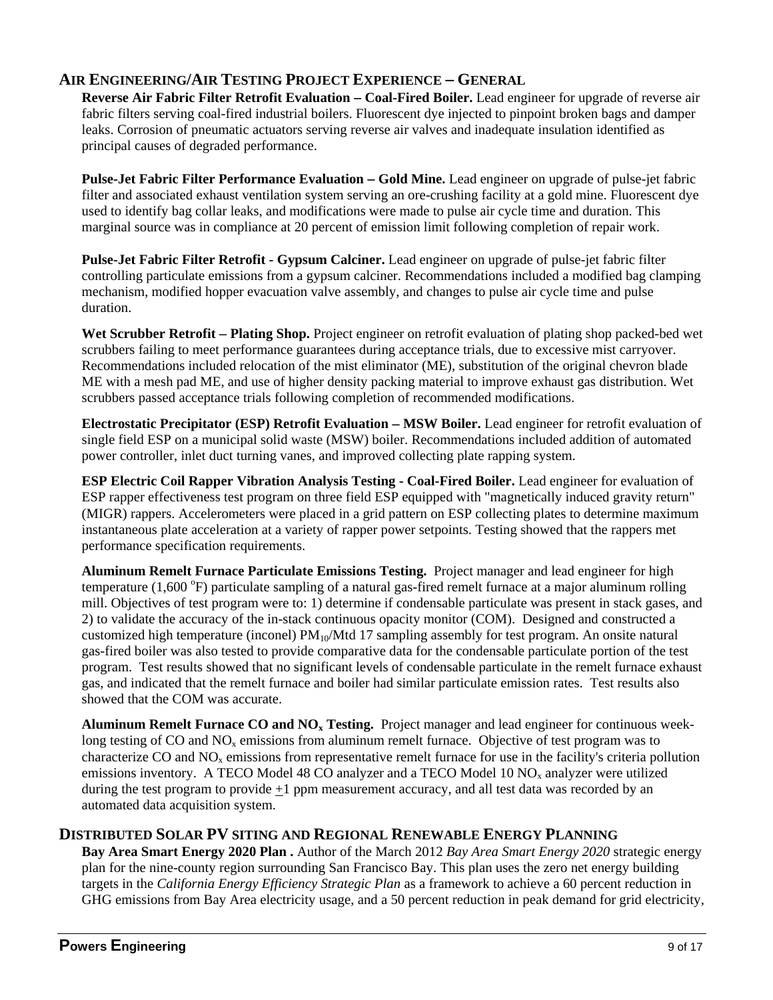# **AIR ENGINEERING/AIR TESTING PROJECT EXPERIENCE GENERAL**

**Reverse Air Fabric Filter Retrofit Evaluation – Coal-Fired Boiler.** Lead engineer for upgrade of reverse air fabric filters serving coal-fired industrial boilers. Fluorescent dye injected to pinpoint broken bags and damper leaks. Corrosion of pneumatic actuators serving reverse air valves and inadequate insulation identified as principal causes of degraded performance.

**Pulse-Jet Fabric Filter Performance Evaluation – Gold Mine.** Lead engineer on upgrade of pulse-jet fabric filter and associated exhaust ventilation system serving an ore-crushing facility at a gold mine. Fluorescent dye used to identify bag collar leaks, and modifications were made to pulse air cycle time and duration. This marginal source was in compliance at 20 percent of emission limit following completion of repair work.

**Pulse-Jet Fabric Filter Retrofit - Gypsum Calciner.** Lead engineer on upgrade of pulse-jet fabric filter controlling particulate emissions from a gypsum calciner. Recommendations included a modified bag clamping mechanism, modified hopper evacuation valve assembly, and changes to pulse air cycle time and pulse duration.

Wet Scrubber Retrofit – Plating Shop. Project engineer on retrofit evaluation of plating shop packed-bed wet scrubbers failing to meet performance guarantees during acceptance trials, due to excessive mist carryover. Recommendations included relocation of the mist eliminator (ME), substitution of the original chevron blade ME with a mesh pad ME, and use of higher density packing material to improve exhaust gas distribution. Wet scrubbers passed acceptance trials following completion of recommended modifications.

**Electrostatic Precipitator (ESP) Retrofit Evaluation MSW Boiler.** Lead engineer for retrofit evaluation of single field ESP on a municipal solid waste (MSW) boiler. Recommendations included addition of automated power controller, inlet duct turning vanes, and improved collecting plate rapping system.

**ESP Electric Coil Rapper Vibration Analysis Testing - Coal-Fired Boiler.** Lead engineer for evaluation of ESP rapper effectiveness test program on three field ESP equipped with "magnetically induced gravity return" (MIGR) rappers. Accelerometers were placed in a grid pattern on ESP collecting plates to determine maximum instantaneous plate acceleration at a variety of rapper power setpoints. Testing showed that the rappers met performance specification requirements.

**Aluminum Remelt Furnace Particulate Emissions Testing.** Project manager and lead engineer for high temperature (1,600 °F) particulate sampling of a natural gas-fired remelt furnace at a major aluminum rolling mill. Objectives of test program were to: 1) determine if condensable particulate was present in stack gases, and 2) to validate the accuracy of the in-stack continuous opacity monitor (COM). Designed and constructed a customized high temperature (inconel)  $PM_{10}/Mtd$  17 sampling assembly for test program. An onsite natural gas-fired boiler was also tested to provide comparative data for the condensable particulate portion of the test program. Test results showed that no significant levels of condensable particulate in the remelt furnace exhaust gas, and indicated that the remelt furnace and boiler had similar particulate emission rates. Test results also showed that the COM was accurate.

**Aluminum Remelt Furnace CO and NOx Testing.** Project manager and lead engineer for continuous weeklong testing of CO and  $NO<sub>x</sub>$  emissions from aluminum remelt furnace. Objective of test program was to characterize CO and  $NO_x$  emissions from representative remelt furnace for use in the facility's criteria pollution emissions inventory. A TECO Model 48 CO analyzer and a TECO Model 10  $NO<sub>x</sub>$  analyzer were utilized during the test program to provide  $+1$  ppm measurement accuracy, and all test data was recorded by an automated data acquisition system.

## **DISTRIBUTED SOLAR PV SITING AND REGIONAL RENEWABLE ENERGY PLANNING**

**Bay Area Smart Energy 2020 Plan .** Author of the March 2012 *Bay Area Smart Energy 2020* strategic energy plan for the nine-county region surrounding San Francisco Bay. This plan uses the zero net energy building targets in the *California Energy Efficiency Strategic Plan* as a framework to achieve a 60 percent reduction in GHG emissions from Bay Area electricity usage, and a 50 percent reduction in peak demand for grid electricity,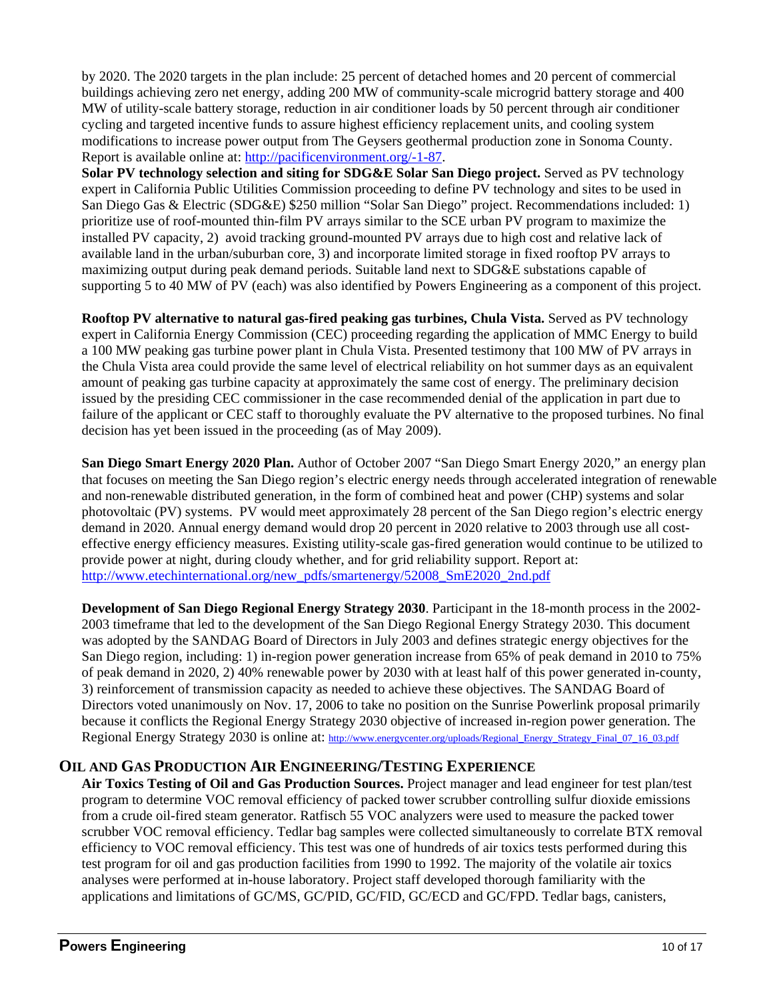by 2020. The 2020 targets in the plan include: 25 percent of detached homes and 20 percent of commercial buildings achieving zero net energy, adding 200 MW of community-scale microgrid battery storage and 400 MW of utility-scale battery storage, reduction in air conditioner loads by 50 percent through air conditioner cycling and targeted incentive funds to assure highest efficiency replacement units, and cooling system modifications to increase power output from The Geysers geothermal production zone in Sonoma County. Report is available online at: http://pacificenvironment.org/-1-87.

**Solar PV technology selection and siting for SDG&E Solar San Diego project.** Served as PV technology expert in California Public Utilities Commission proceeding to define PV technology and sites to be used in San Diego Gas & Electric (SDG&E) \$250 million "Solar San Diego" project. Recommendations included: 1) prioritize use of roof-mounted thin-film PV arrays similar to the SCE urban PV program to maximize the installed PV capacity, 2) avoid tracking ground-mounted PV arrays due to high cost and relative lack of available land in the urban/suburban core, 3) and incorporate limited storage in fixed rooftop PV arrays to maximizing output during peak demand periods. Suitable land next to SDG&E substations capable of supporting 5 to 40 MW of PV (each) was also identified by Powers Engineering as a component of this project.

**Rooftop PV alternative to natural gas-fired peaking gas turbines, Chula Vista.** Served as PV technology expert in California Energy Commission (CEC) proceeding regarding the application of MMC Energy to build a 100 MW peaking gas turbine power plant in Chula Vista. Presented testimony that 100 MW of PV arrays in the Chula Vista area could provide the same level of electrical reliability on hot summer days as an equivalent amount of peaking gas turbine capacity at approximately the same cost of energy. The preliminary decision issued by the presiding CEC commissioner in the case recommended denial of the application in part due to failure of the applicant or CEC staff to thoroughly evaluate the PV alternative to the proposed turbines. No final decision has yet been issued in the proceeding (as of May 2009).

**San Diego Smart Energy 2020 Plan.** Author of October 2007 "San Diego Smart Energy 2020," an energy plan that focuses on meeting the San Diego region's electric energy needs through accelerated integration of renewable and non-renewable distributed generation, in the form of combined heat and power (CHP) systems and solar photovoltaic (PV) systems. PV would meet approximately 28 percent of the San Diego region's electric energy demand in 2020. Annual energy demand would drop 20 percent in 2020 relative to 2003 through use all costeffective energy efficiency measures. Existing utility-scale gas-fired generation would continue to be utilized to provide power at night, during cloudy whether, and for grid reliability support. Report at: http://www.etechinternational.org/new\_pdfs/smartenergy/52008\_SmE2020\_2nd.pdf

**Development of San Diego Regional Energy Strategy 2030**. Participant in the 18-month process in the 2002- 2003 timeframe that led to the development of the San Diego Regional Energy Strategy 2030. This document was adopted by the SANDAG Board of Directors in July 2003 and defines strategic energy objectives for the San Diego region, including: 1) in-region power generation increase from 65% of peak demand in 2010 to 75% of peak demand in 2020, 2) 40% renewable power by 2030 with at least half of this power generated in-county, 3) reinforcement of transmission capacity as needed to achieve these objectives. The SANDAG Board of Directors voted unanimously on Nov. 17, 2006 to take no position on the Sunrise Powerlink proposal primarily because it conflicts the Regional Energy Strategy 2030 objective of increased in-region power generation. The Regional Energy Strategy 2030 is online at: http://www.energycenter.org/uploads/Regional\_Energy\_Strategy\_Final\_07\_16\_03.pdf

## **OIL AND GAS PRODUCTION AIR ENGINEERING/TESTING EXPERIENCE**

**Air Toxics Testing of Oil and Gas Production Sources.** Project manager and lead engineer for test plan/test program to determine VOC removal efficiency of packed tower scrubber controlling sulfur dioxide emissions from a crude oil-fired steam generator. Ratfisch 55 VOC analyzers were used to measure the packed tower scrubber VOC removal efficiency. Tedlar bag samples were collected simultaneously to correlate BTX removal efficiency to VOC removal efficiency. This test was one of hundreds of air toxics tests performed during this test program for oil and gas production facilities from 1990 to 1992. The majority of the volatile air toxics analyses were performed at in-house laboratory. Project staff developed thorough familiarity with the applications and limitations of GC/MS, GC/PID, GC/FID, GC/ECD and GC/FPD. Tedlar bags, canisters,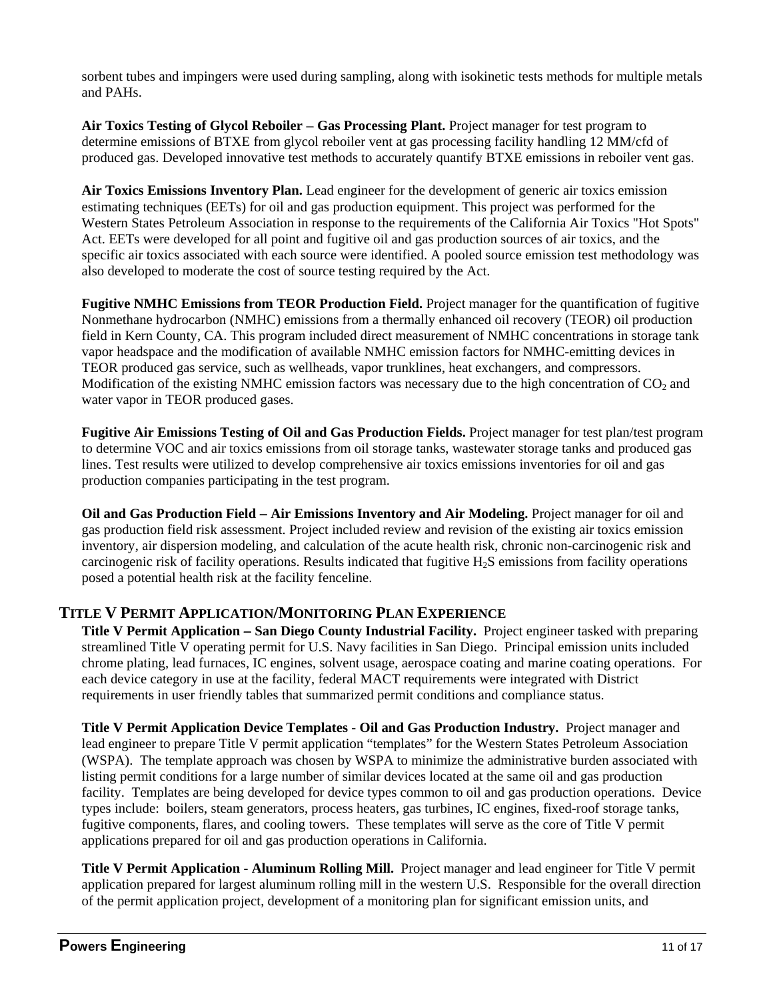sorbent tubes and impingers were used during sampling, along with isokinetic tests methods for multiple metals and PAHs.

Air Toxics Testing of Glycol Reboiler – Gas Processing Plant. Project manager for test program to determine emissions of BTXE from glycol reboiler vent at gas processing facility handling 12 MM/cfd of produced gas. Developed innovative test methods to accurately quantify BTXE emissions in reboiler vent gas.

**Air Toxics Emissions Inventory Plan.** Lead engineer for the development of generic air toxics emission estimating techniques (EETs) for oil and gas production equipment. This project was performed for the Western States Petroleum Association in response to the requirements of the California Air Toxics "Hot Spots" Act. EETs were developed for all point and fugitive oil and gas production sources of air toxics, and the specific air toxics associated with each source were identified. A pooled source emission test methodology was also developed to moderate the cost of source testing required by the Act.

**Fugitive NMHC Emissions from TEOR Production Field.** Project manager for the quantification of fugitive Nonmethane hydrocarbon (NMHC) emissions from a thermally enhanced oil recovery (TEOR) oil production field in Kern County, CA. This program included direct measurement of NMHC concentrations in storage tank vapor headspace and the modification of available NMHC emission factors for NMHC-emitting devices in TEOR produced gas service, such as wellheads, vapor trunklines, heat exchangers, and compressors. Modification of the existing NMHC emission factors was necessary due to the high concentration of  $CO<sub>2</sub>$  and water vapor in TEOR produced gases.

**Fugitive Air Emissions Testing of Oil and Gas Production Fields.** Project manager for test plan/test program to determine VOC and air toxics emissions from oil storage tanks, wastewater storage tanks and produced gas lines. Test results were utilized to develop comprehensive air toxics emissions inventories for oil and gas production companies participating in the test program.

**Oil and Gas Production Field Air Emissions Inventory and Air Modeling.** Project manager for oil and gas production field risk assessment. Project included review and revision of the existing air toxics emission inventory, air dispersion modeling, and calculation of the acute health risk, chronic non-carcinogenic risk and carcinogenic risk of facility operations. Results indicated that fugitive H<sub>2</sub>S emissions from facility operations posed a potential health risk at the facility fenceline.

## **TITLE V PERMIT APPLICATION/MONITORING PLAN EXPERIENCE**

**Title V Permit Application San Diego County Industrial Facility.** Project engineer tasked with preparing streamlined Title V operating permit for U.S. Navy facilities in San Diego. Principal emission units included chrome plating, lead furnaces, IC engines, solvent usage, aerospace coating and marine coating operations. For each device category in use at the facility, federal MACT requirements were integrated with District requirements in user friendly tables that summarized permit conditions and compliance status.

**Title V Permit Application Device Templates - Oil and Gas Production Industry.** Project manager and lead engineer to prepare Title V permit application "templates" for the Western States Petroleum Association (WSPA). The template approach was chosen by WSPA to minimize the administrative burden associated with listing permit conditions for a large number of similar devices located at the same oil and gas production facility. Templates are being developed for device types common to oil and gas production operations. Device types include: boilers, steam generators, process heaters, gas turbines, IC engines, fixed-roof storage tanks, fugitive components, flares, and cooling towers. These templates will serve as the core of Title V permit applications prepared for oil and gas production operations in California.

**Title V Permit Application - Aluminum Rolling Mill.** Project manager and lead engineer for Title V permit application prepared for largest aluminum rolling mill in the western U.S. Responsible for the overall direction of the permit application project, development of a monitoring plan for significant emission units, and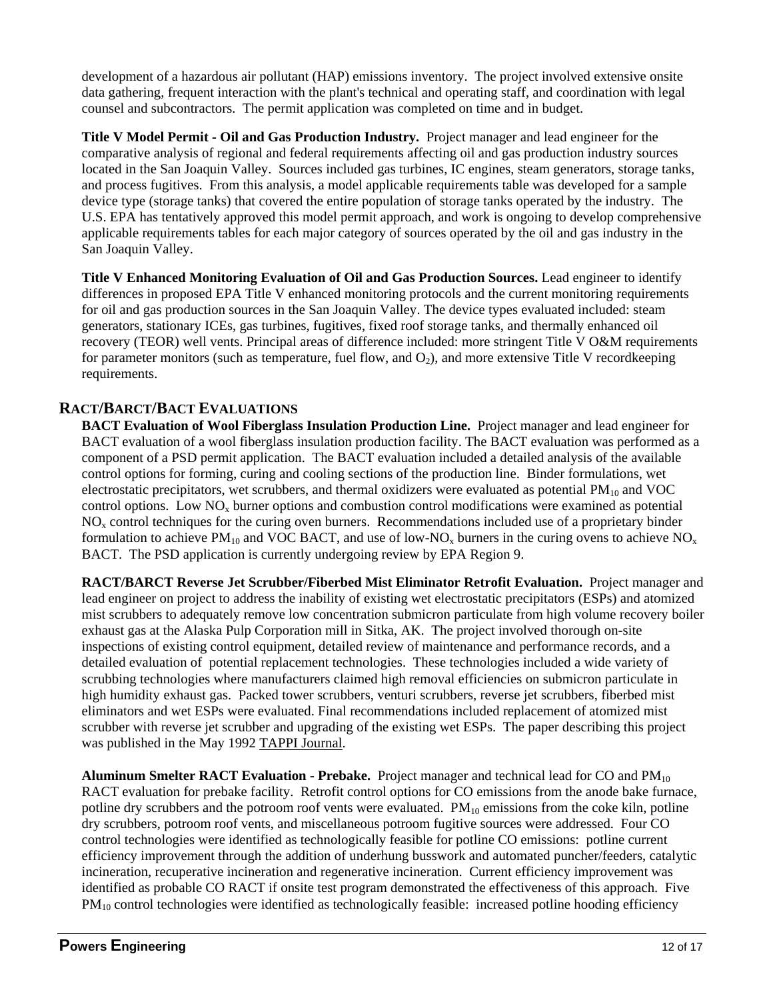development of a hazardous air pollutant (HAP) emissions inventory. The project involved extensive onsite data gathering, frequent interaction with the plant's technical and operating staff, and coordination with legal counsel and subcontractors. The permit application was completed on time and in budget.

**Title V Model Permit - Oil and Gas Production Industry.** Project manager and lead engineer for the comparative analysis of regional and federal requirements affecting oil and gas production industry sources located in the San Joaquin Valley. Sources included gas turbines, IC engines, steam generators, storage tanks, and process fugitives. From this analysis, a model applicable requirements table was developed for a sample device type (storage tanks) that covered the entire population of storage tanks operated by the industry. The U.S. EPA has tentatively approved this model permit approach, and work is ongoing to develop comprehensive applicable requirements tables for each major category of sources operated by the oil and gas industry in the San Joaquin Valley.

**Title V Enhanced Monitoring Evaluation of Oil and Gas Production Sources.** Lead engineer to identify differences in proposed EPA Title V enhanced monitoring protocols and the current monitoring requirements for oil and gas production sources in the San Joaquin Valley. The device types evaluated included: steam generators, stationary ICEs, gas turbines, fugitives, fixed roof storage tanks, and thermally enhanced oil recovery (TEOR) well vents. Principal areas of difference included: more stringent Title V O&M requirements for parameter monitors (such as temperature, fuel flow, and  $O_2$ ), and more extensive Title V recordkeeping requirements.

# **RACT/BARCT/BACT EVALUATIONS**

**BACT Evaluation of Wool Fiberglass Insulation Production Line.** Project manager and lead engineer for BACT evaluation of a wool fiberglass insulation production facility. The BACT evaluation was performed as a component of a PSD permit application. The BACT evaluation included a detailed analysis of the available control options for forming, curing and cooling sections of the production line. Binder formulations, wet electrostatic precipitators, wet scrubbers, and thermal oxidizers were evaluated as potential  $PM_{10}$  and VOC control options. Low  $NO<sub>x</sub>$  burner options and combustion control modifications were examined as potential  $NO<sub>x</sub>$  control techniques for the curing oven burners. Recommendations included use of a proprietary binder formulation to achieve PM<sub>10</sub> and VOC BACT, and use of low-NO<sub>x</sub> burners in the curing ovens to achieve NO<sub>x</sub> BACT. The PSD application is currently undergoing review by EPA Region 9.

**RACT/BARCT Reverse Jet Scrubber/Fiberbed Mist Eliminator Retrofit Evaluation.** Project manager and lead engineer on project to address the inability of existing wet electrostatic precipitators (ESPs) and atomized mist scrubbers to adequately remove low concentration submicron particulate from high volume recovery boiler exhaust gas at the Alaska Pulp Corporation mill in Sitka, AK. The project involved thorough on-site inspections of existing control equipment, detailed review of maintenance and performance records, and a detailed evaluation of potential replacement technologies. These technologies included a wide variety of scrubbing technologies where manufacturers claimed high removal efficiencies on submicron particulate in high humidity exhaust gas. Packed tower scrubbers, venturi scrubbers, reverse jet scrubbers, fiberbed mist eliminators and wet ESPs were evaluated. Final recommendations included replacement of atomized mist scrubber with reverse jet scrubber and upgrading of the existing wet ESPs. The paper describing this project was published in the May 1992 TAPPI Journal.

**Aluminum Smelter RACT Evaluation - Prebake.** Project manager and technical lead for CO and PM10 RACT evaluation for prebake facility. Retrofit control options for CO emissions from the anode bake furnace, potline dry scrubbers and the potroom roof vents were evaluated.  $PM_{10}$  emissions from the coke kiln, potline dry scrubbers, potroom roof vents, and miscellaneous potroom fugitive sources were addressed. Four CO control technologies were identified as technologically feasible for potline CO emissions: potline current efficiency improvement through the addition of underhung busswork and automated puncher/feeders, catalytic incineration, recuperative incineration and regenerative incineration. Current efficiency improvement was identified as probable CO RACT if onsite test program demonstrated the effectiveness of this approach. Five  $PM_{10}$  control technologies were identified as technologically feasible: increased potline hooding efficiency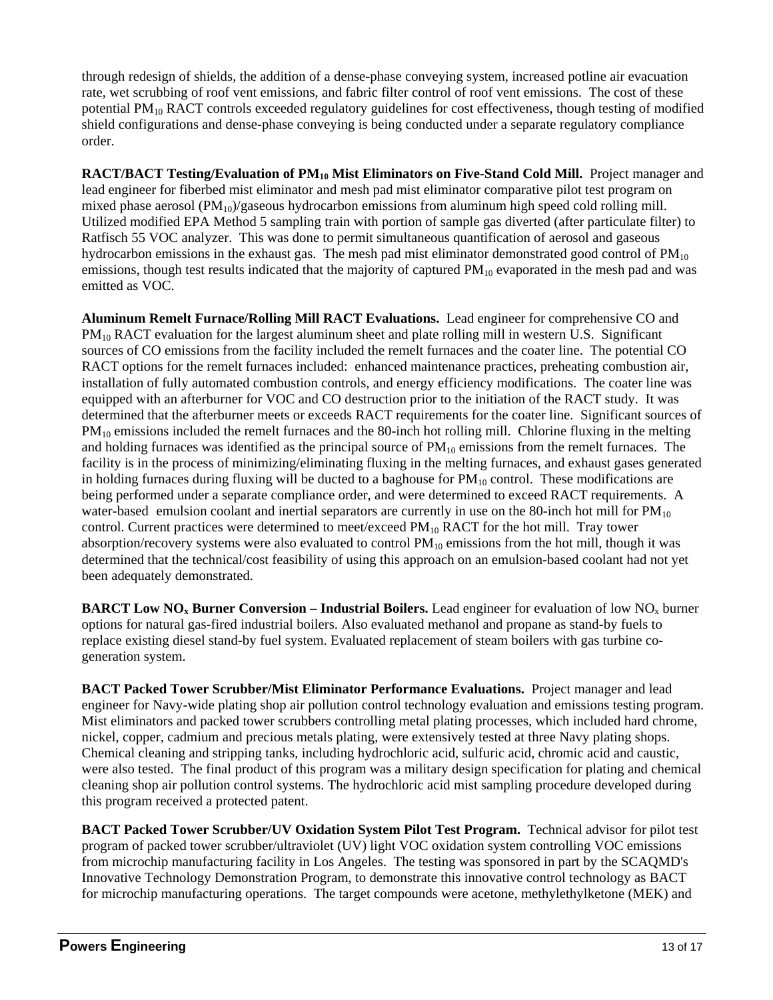through redesign of shields, the addition of a dense-phase conveying system, increased potline air evacuation rate, wet scrubbing of roof vent emissions, and fabric filter control of roof vent emissions. The cost of these potential PM<sub>10</sub> RACT controls exceeded regulatory guidelines for cost effectiveness, though testing of modified shield configurations and dense-phase conveying is being conducted under a separate regulatory compliance order.

**RACT/BACT Testing/Evaluation of PM<sub>10</sub> Mist Eliminators on Five-Stand Cold Mill.** Project manager and lead engineer for fiberbed mist eliminator and mesh pad mist eliminator comparative pilot test program on mixed phase aerosol  $(PM_{10})$ /gaseous hydrocarbon emissions from aluminum high speed cold rolling mill. Utilized modified EPA Method 5 sampling train with portion of sample gas diverted (after particulate filter) to Ratfisch 55 VOC analyzer. This was done to permit simultaneous quantification of aerosol and gaseous hydrocarbon emissions in the exhaust gas. The mesh pad mist eliminator demonstrated good control of  $PM_{10}$ emissions, though test results indicated that the majority of captured  $PM_{10}$  evaporated in the mesh pad and was emitted as VOC.

**Aluminum Remelt Furnace/Rolling Mill RACT Evaluations.** Lead engineer for comprehensive CO and PM<sub>10</sub> RACT evaluation for the largest aluminum sheet and plate rolling mill in western U.S. Significant sources of CO emissions from the facility included the remelt furnaces and the coater line. The potential CO RACT options for the remelt furnaces included: enhanced maintenance practices, preheating combustion air, installation of fully automated combustion controls, and energy efficiency modifications. The coater line was equipped with an afterburner for VOC and CO destruction prior to the initiation of the RACT study. It was determined that the afterburner meets or exceeds RACT requirements for the coater line. Significant sources of PM<sub>10</sub> emissions included the remelt furnaces and the 80-inch hot rolling mill. Chlorine fluxing in the melting and holding furnaces was identified as the principal source of  $PM_{10}$  emissions from the remelt furnaces. The facility is in the process of minimizing/eliminating fluxing in the melting furnaces, and exhaust gases generated in holding furnaces during fluxing will be ducted to a baghouse for  $PM_{10}$  control. These modifications are being performed under a separate compliance order, and were determined to exceed RACT requirements. A water-based emulsion coolant and inertial separators are currently in use on the 80-inch hot mill for  $PM_{10}$ control. Current practices were determined to meet/exceed  $PM_{10}$  RACT for the hot mill. Tray tower absorption/recovery systems were also evaluated to control  $PM_{10}$  emissions from the hot mill, though it was determined that the technical/cost feasibility of using this approach on an emulsion-based coolant had not yet been adequately demonstrated.

**BARCT Low NO<sub>x</sub> Burner Conversion – Industrial Boilers.** Lead engineer for evaluation of low NO<sub>x</sub> burner options for natural gas-fired industrial boilers. Also evaluated methanol and propane as stand-by fuels to replace existing diesel stand-by fuel system. Evaluated replacement of steam boilers with gas turbine cogeneration system.

**BACT Packed Tower Scrubber/Mist Eliminator Performance Evaluations.** Project manager and lead engineer for Navy-wide plating shop air pollution control technology evaluation and emissions testing program. Mist eliminators and packed tower scrubbers controlling metal plating processes, which included hard chrome, nickel, copper, cadmium and precious metals plating, were extensively tested at three Navy plating shops. Chemical cleaning and stripping tanks, including hydrochloric acid, sulfuric acid, chromic acid and caustic, were also tested. The final product of this program was a military design specification for plating and chemical cleaning shop air pollution control systems. The hydrochloric acid mist sampling procedure developed during this program received a protected patent.

**BACT Packed Tower Scrubber/UV Oxidation System Pilot Test Program.** Technical advisor for pilot test program of packed tower scrubber/ultraviolet (UV) light VOC oxidation system controlling VOC emissions from microchip manufacturing facility in Los Angeles. The testing was sponsored in part by the SCAQMD's Innovative Technology Demonstration Program, to demonstrate this innovative control technology as BACT for microchip manufacturing operations. The target compounds were acetone, methylethylketone (MEK) and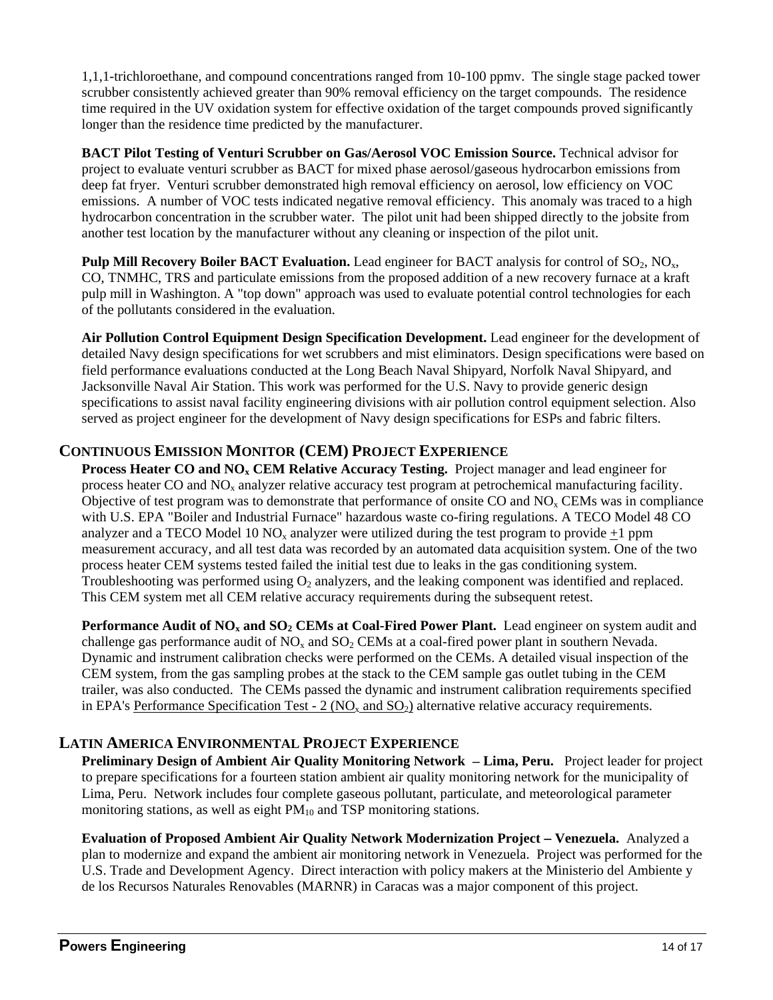1,1,1-trichloroethane, and compound concentrations ranged from 10-100 ppmv. The single stage packed tower scrubber consistently achieved greater than 90% removal efficiency on the target compounds. The residence time required in the UV oxidation system for effective oxidation of the target compounds proved significantly longer than the residence time predicted by the manufacturer.

 **BACT Pilot Testing of Venturi Scrubber on Gas/Aerosol VOC Emission Source.** Technical advisor for project to evaluate venturi scrubber as BACT for mixed phase aerosol/gaseous hydrocarbon emissions from deep fat fryer. Venturi scrubber demonstrated high removal efficiency on aerosol, low efficiency on VOC emissions. A number of VOC tests indicated negative removal efficiency. This anomaly was traced to a high hydrocarbon concentration in the scrubber water. The pilot unit had been shipped directly to the jobsite from another test location by the manufacturer without any cleaning or inspection of the pilot unit.

**Pulp Mill Recovery Boiler BACT Evaluation.** Lead engineer for BACT analysis for control of SO<sub>2</sub>, NO<sub>x</sub>, CO, TNMHC, TRS and particulate emissions from the proposed addition of a new recovery furnace at a kraft pulp mill in Washington. A "top down" approach was used to evaluate potential control technologies for each of the pollutants considered in the evaluation.

**Air Pollution Control Equipment Design Specification Development.** Lead engineer for the development of detailed Navy design specifications for wet scrubbers and mist eliminators. Design specifications were based on field performance evaluations conducted at the Long Beach Naval Shipyard, Norfolk Naval Shipyard, and Jacksonville Naval Air Station. This work was performed for the U.S. Navy to provide generic design specifications to assist naval facility engineering divisions with air pollution control equipment selection. Also served as project engineer for the development of Navy design specifications for ESPs and fabric filters.

# **CONTINUOUS EMISSION MONITOR (CEM) PROJECT EXPERIENCE**

**Process Heater CO and NO<sub>x</sub> CEM Relative Accuracy Testing.** Project manager and lead engineer for process heater CO and  $NO<sub>x</sub>$  analyzer relative accuracy test program at petrochemical manufacturing facility. Objective of test program was to demonstrate that performance of onsite CO and  $NO<sub>x</sub>$  CEMs was in compliance with U.S. EPA "Boiler and Industrial Furnace" hazardous waste co-firing regulations. A TECO Model 48 CO analyzer and a TECO Model 10  $NO<sub>x</sub>$  analyzer were utilized during the test program to provide  $+1$  ppm measurement accuracy, and all test data was recorded by an automated data acquisition system. One of the two process heater CEM systems tested failed the initial test due to leaks in the gas conditioning system. Troubleshooting was performed using  $O_2$  analyzers, and the leaking component was identified and replaced. This CEM system met all CEM relative accuracy requirements during the subsequent retest.

Performance Audit of NO<sub>x</sub> and SO<sub>2</sub> CEMs at Coal-Fired Power Plant. Lead engineer on system audit and challenge gas performance audit of  $NO<sub>x</sub>$  and  $SO<sub>2</sub>$  CEMs at a coal-fired power plant in southern Nevada. Dynamic and instrument calibration checks were performed on the CEMs. A detailed visual inspection of the CEM system, from the gas sampling probes at the stack to the CEM sample gas outlet tubing in the CEM trailer, was also conducted. The CEMs passed the dynamic and instrument calibration requirements specified in EPA's Performance Specification Test - 2 ( $NO<sub>x</sub>$  and  $SO<sub>2</sub>$ ) alternative relative accuracy requirements.

# **LATIN AMERICA ENVIRONMENTAL PROJECT EXPERIENCE**

**Preliminary Design of Ambient Air Quality Monitoring Network Lima, Peru.** Project leader for project to prepare specifications for a fourteen station ambient air quality monitoring network for the municipality of Lima, Peru. Network includes four complete gaseous pollutant, particulate, and meteorological parameter monitoring stations, as well as eight  $PM_{10}$  and TSP monitoring stations.

**Evaluation of Proposed Ambient Air Quality Network Modernization Project Venezuela.** Analyzed a plan to modernize and expand the ambient air monitoring network in Venezuela. Project was performed for the U.S. Trade and Development Agency. Direct interaction with policy makers at the Ministerio del Ambiente y de los Recursos Naturales Renovables (MARNR) in Caracas was a major component of this project.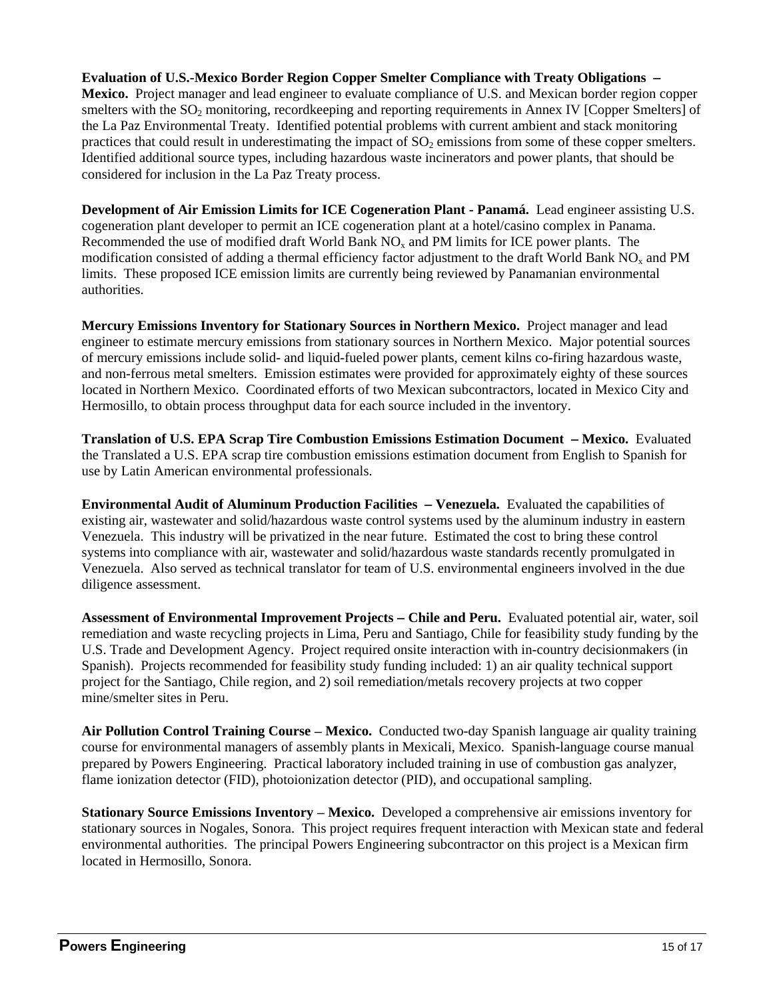**Evaluation of U.S.-Mexico Border Region Copper Smelter Compliance with Treaty Obligations Mexico.** Project manager and lead engineer to evaluate compliance of U.S. and Mexican border region copper smelters with the  $SO<sub>2</sub>$  monitoring, recordkeeping and reporting requirements in Annex IV [Copper Smelters] of the La Paz Environmental Treaty. Identified potential problems with current ambient and stack monitoring practices that could result in underestimating the impact of  $SO<sub>2</sub>$  emissions from some of these copper smelters. Identified additional source types, including hazardous waste incinerators and power plants, that should be considered for inclusion in the La Paz Treaty process.

**Development of Air Emission Limits for ICE Cogeneration Plant - Panamá.** Lead engineer assisting U.S. cogeneration plant developer to permit an ICE cogeneration plant at a hotel/casino complex in Panama. Recommended the use of modified draft World Bank  $NO<sub>x</sub>$  and PM limits for ICE power plants. The modification consisted of adding a thermal efficiency factor adjustment to the draft World Bank NO<sub>x</sub> and PM limits. These proposed ICE emission limits are currently being reviewed by Panamanian environmental authorities.

**Mercury Emissions Inventory for Stationary Sources in Northern Mexico.** Project manager and lead engineer to estimate mercury emissions from stationary sources in Northern Mexico. Major potential sources of mercury emissions include solid- and liquid-fueled power plants, cement kilns co-firing hazardous waste, and non-ferrous metal smelters. Emission estimates were provided for approximately eighty of these sources located in Northern Mexico. Coordinated efforts of two Mexican subcontractors, located in Mexico City and Hermosillo, to obtain process throughput data for each source included in the inventory.

**Translation of U.S. EPA Scrap Tire Combustion Emissions Estimation Document – Mexico.** Evaluated the Translated a U.S. EPA scrap tire combustion emissions estimation document from English to Spanish for use by Latin American environmental professionals.

**Environmental Audit of Aluminum Production Facilities Venezuela.** Evaluated the capabilities of existing air, wastewater and solid/hazardous waste control systems used by the aluminum industry in eastern Venezuela. This industry will be privatized in the near future. Estimated the cost to bring these control systems into compliance with air, wastewater and solid/hazardous waste standards recently promulgated in Venezuela. Also served as technical translator for team of U.S. environmental engineers involved in the due diligence assessment.

**Assessment of Environmental Improvement Projects Chile and Peru.** Evaluated potential air, water, soil remediation and waste recycling projects in Lima, Peru and Santiago, Chile for feasibility study funding by the U.S. Trade and Development Agency. Project required onsite interaction with in-country decisionmakers (in Spanish). Projects recommended for feasibility study funding included: 1) an air quality technical support project for the Santiago, Chile region, and 2) soil remediation/metals recovery projects at two copper mine/smelter sites in Peru.

**Air Pollution Control Training Course Mexico.** Conducted two-day Spanish language air quality training course for environmental managers of assembly plants in Mexicali, Mexico. Spanish-language course manual prepared by Powers Engineering. Practical laboratory included training in use of combustion gas analyzer, flame ionization detector (FID), photoionization detector (PID), and occupational sampling.

**Stationary Source Emissions Inventory – Mexico.** Developed a comprehensive air emissions inventory for stationary sources in Nogales, Sonora. This project requires frequent interaction with Mexican state and federal environmental authorities. The principal Powers Engineering subcontractor on this project is a Mexican firm located in Hermosillo, Sonora.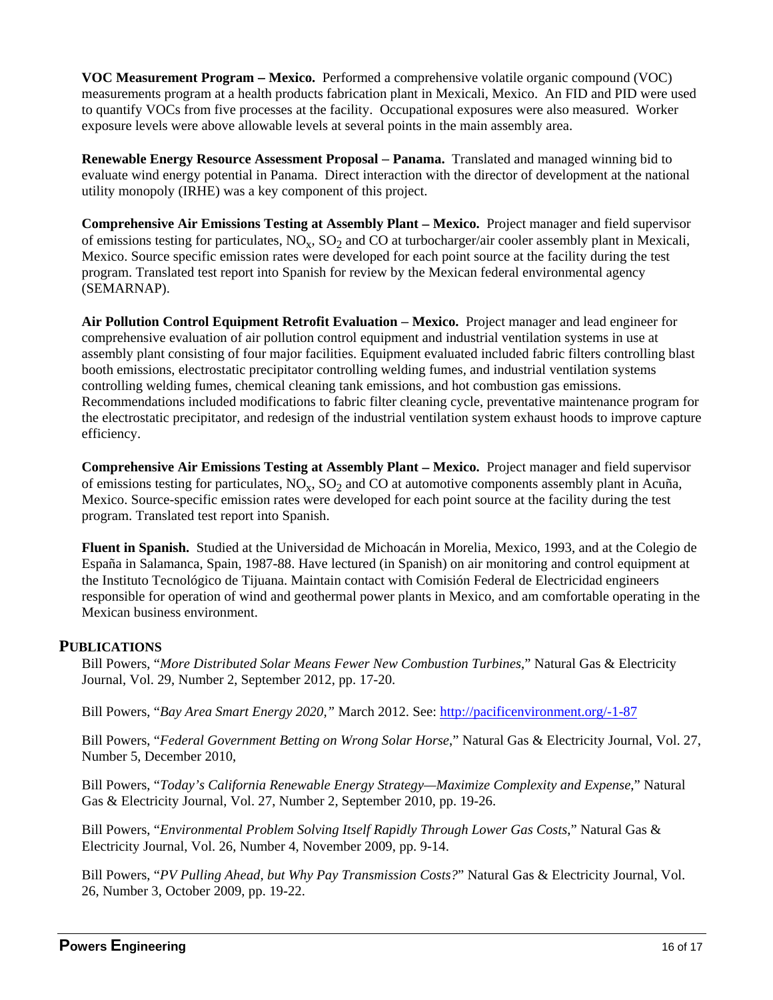**VOC Measurement Program Mexico.** Performed a comprehensive volatile organic compound (VOC) measurements program at a health products fabrication plant in Mexicali, Mexico. An FID and PID were used to quantify VOCs from five processes at the facility. Occupational exposures were also measured. Worker exposure levels were above allowable levels at several points in the main assembly area.

**Renewable Energy Resource Assessment Proposal – Panama.** Translated and managed winning bid to evaluate wind energy potential in Panama. Direct interaction with the director of development at the national utility monopoly (IRHE) was a key component of this project.

**Comprehensive Air Emissions Testing at Assembly Plant – Mexico.** Project manager and field supervisor of emissions testing for particulates,  $NO<sub>x</sub>$ ,  $SO<sub>2</sub>$  and CO at turbocharger/air cooler assembly plant in Mexicali, Mexico. Source specific emission rates were developed for each point source at the facility during the test program. Translated test report into Spanish for review by the Mexican federal environmental agency (SEMARNAP).

**Air Pollution Control Equipment Retrofit Evaluation Mexico.** Project manager and lead engineer for comprehensive evaluation of air pollution control equipment and industrial ventilation systems in use at assembly plant consisting of four major facilities. Equipment evaluated included fabric filters controlling blast booth emissions, electrostatic precipitator controlling welding fumes, and industrial ventilation systems controlling welding fumes, chemical cleaning tank emissions, and hot combustion gas emissions. Recommendations included modifications to fabric filter cleaning cycle, preventative maintenance program for the electrostatic precipitator, and redesign of the industrial ventilation system exhaust hoods to improve capture efficiency.

**Comprehensive Air Emissions Testing at Assembly Plant – Mexico.** Project manager and field supervisor of emissions testing for particulates,  $NO_x$ ,  $SO_2$  and  $CO$  at automotive components assembly plant in Acuña, Mexico. Source-specific emission rates were developed for each point source at the facility during the test program. Translated test report into Spanish.

**Fluent in Spanish.** Studied at the Universidad de Michoacán in Morelia, Mexico, 1993, and at the Colegio de España in Salamanca, Spain, 1987-88. Have lectured (in Spanish) on air monitoring and control equipment at the Instituto Tecnológico de Tijuana. Maintain contact with Comisión Federal de Electricidad engineers responsible for operation of wind and geothermal power plants in Mexico, and am comfortable operating in the Mexican business environment.

### **PUBLICATIONS**

Bill Powers, "*More Distributed Solar Means Fewer New Combustion Turbines*," Natural Gas & Electricity Journal, Vol. 29, Number 2, September 2012, pp. 17-20.

Bill Powers, "*Bay Area Smart Energy 2020,"* March 2012. See: http://pacificenvironment.org/-1-87

Bill Powers, "*Federal Government Betting on Wrong Solar Horse*," Natural Gas & Electricity Journal, Vol. 27, Number 5, December 2010,

Bill Powers, "*Today's California Renewable Energy Strategy—Maximize Complexity and Expense*," Natural Gas & Electricity Journal, Vol. 27, Number 2, September 2010, pp. 19-26.

Bill Powers, "*Environmental Problem Solving Itself Rapidly Through Lower Gas Costs*," Natural Gas & Electricity Journal, Vol. 26, Number 4, November 2009, pp. 9-14.

Bill Powers, "*PV Pulling Ahead, but Why Pay Transmission Costs?*" Natural Gas & Electricity Journal, Vol. 26, Number 3, October 2009, pp. 19-22.